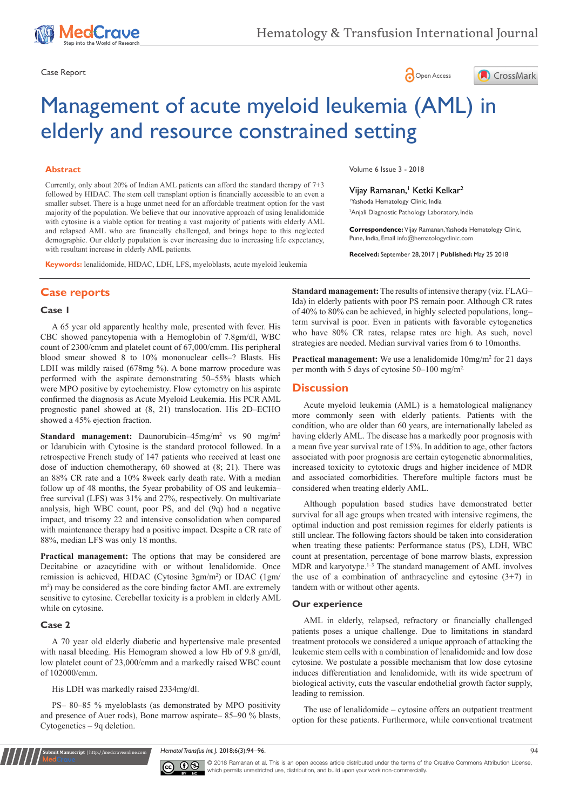





# Management of acute myeloid leukemia (AML) in elderly and resource constrained setting

#### **Abstract**

Currently, only about 20% of Indian AML patients can afford the standard therapy of 7+3 followed by HIDAC. The stem cell transplant option is financially accessible to an even a smaller subset. There is a huge unmet need for an affordable treatment option for the vast majority of the population. We believe that our innovative approach of using lenalidomide with cytosine is a viable option for treating a vast majority of patients with elderly AML and relapsed AML who are financially challenged, and brings hope to this neglected demographic. Our elderly population is ever increasing due to increasing life expectancy, with resultant increase in elderly AML patients.

**Keywords:** lenalidomide, HIDAC, LDH, LFS, myeloblasts, acute myeloid leukemia

Volume 6 Issue 3 - 2018

#### Vijay Ramanan,' Ketki Kelkar<sup>2</sup>

1 Yashoda Hematology Clinic, India 2 Anjali Diagnostic Pathology Laboratory, India

**Correspondence:** Vijay Ramanan, Yashoda Hematology Clinic, Pune, India, Email info@hematologyclinic.com

**Received:** September 28, 2017 | **Published:** May 25 2018

## **Case reports**

### **Case 1**

A 65 year old apparently healthy male, presented with fever. His CBC showed pancytopenia with a Hemoglobin of 7.8gm/dl, WBC count of 2300/cmm and platelet count of 67,000/cmm. His peripheral blood smear showed 8 to 10% mononuclear cells-? Blasts. His LDH was mildly raised (678mg %). A bone marrow procedure was performed with the aspirate demonstrating 50–55% blasts which were MPO positive by cytochemistry. Flow cytometry on his aspirate confirmed the diagnosis as Acute Myeloid Leukemia. His PCR AML prognostic panel showed at  $(8, 21)$  translocation. His 2D–ECHO showed a 45% ejection fraction.

Standard management: Daunorubicin-45mg/m<sup>2</sup> vs 90 mg/m<sup>2</sup> or Idarubicin with Cytosine is the standard protocol followed. In a retrospective French study of 147 patients who received at least one dose of induction chemotherapy, 60 showed at (8; 21). There was an 88% CR rate and a 10% 8week early death rate. With a median follow up of 48 months, the 5year probability of OS and leukemiafree survival (LFS) was 31% and 27%, respectively. On multivariate analysis, high WBC count, poor PS, and del (9q) had a negative impact, and trisomy 22 and intensive consolidation when compared with maintenance therapy had a positive impact. Despite a CR rate of 88%, median LFS was only 18 months.

**Practical management:** The options that may be considered are Decitabine or azacytidine with or without lenalidomide. Once remission is achieved, HIDAC (Cytosine 3gm/m<sup>2</sup>) or IDAC (1gm/ m<sup>2</sup>) may be considered as the core binding factor AML are extremely sensitive to cytosine. Cerebellar toxicity is a problem in elderly AML while on cytosine.

### **Case 2**

A 70 year old elderly diabetic and hypertensive male presented with nasal bleeding. His Hemogram showed a low Hb of 9.8 gm/dl, low platelet count of 23,000/cmm and a markedly raised WBC count of 102000/cmm.

His LDH was markedly raised 2334mg/dl.

**Krit Manuscript** | http://medcraveonline.c

PS‒ 80‒85 % myeloblasts (as demonstrated by MPO positivity and presence of Auer rods), Bone marrow aspirate – 85–90 % blasts, Cytogenetics ‒ 9q deletion.

**Standard management:** The results of intensive therapy (viz. FLAG– Ida) in elderly patients with poor PS remain poor. Although CR rates of 40% to 80% can be achieved, in highly selected populations, longterm survival is poor. Even in patients with favorable cytogenetics who have 80% CR rates, relapse rates are high. As such, novel strategies are needed. Median survival varies from 6 to 10months.

**Practical management:** We use a lenalidomide  $10mg/m^2$  for 21 days per month with 5 days of cytosine 50–100 mg/m<sup>2</sup>

## **Discussion**

Acute myeloid leukemia (AML) is a hematological malignancy more commonly seen with elderly patients. Patients with the condition, who are older than 60 years, are internationally labeled as having elderly AML. The disease has a markedly poor prognosis with a mean five year survival rate of 15%. In addition to age, other factors associated with poor prognosis are certain cytogenetic abnormalities, increased toxicity to cytotoxic drugs and higher incidence of MDR and associated comorbidities. Therefore multiple factors must be considered when treating elderly AML.

Although population based studies have demonstrated better survival for all age groups when treated with intensive regimens, the optimal induction and post remission regimes for elderly patients is still unclear. The following factors should be taken into consideration when treating these patients: Performance status (PS), LDH, WBC count at presentation, percentage of bone marrow blasts, expression MDR and karyotype.<sup>1-3</sup> The standard management of AML involves the use of a combination of anthracycline and cytosine  $(3+7)$  in tandem with or without other agents.

#### **Our experience**

AML in elderly, relapsed, refractory or financially challenged patients poses a unique challenge. Due to limitations in standard treatment protocols we considered a unique approach of attacking the leukemic stem cells with a combination of lenalidomide and low dose cytosine. We postulate a possible mechanism that low dose cytosine induces differentiation and lenalidomide, with its wide spectrum of biological activity, cuts the vascular endothelial growth factor supply, leading to remission.

The use of lenalidomide – cytosine offers an outpatient treatment option for these patients. Furthermore, while conventional treatment

*Hematol Transfus Int J.* 2018;6(3):94‒96. 94



© 2018 Ramanan et al. This is an open access article distributed under the terms of the [Creative Commons Attribution License](https://creativecommons.org/licenses/by-nc/4.0/), which permits unrestricted use, distribution, and build upon your work non-commercially.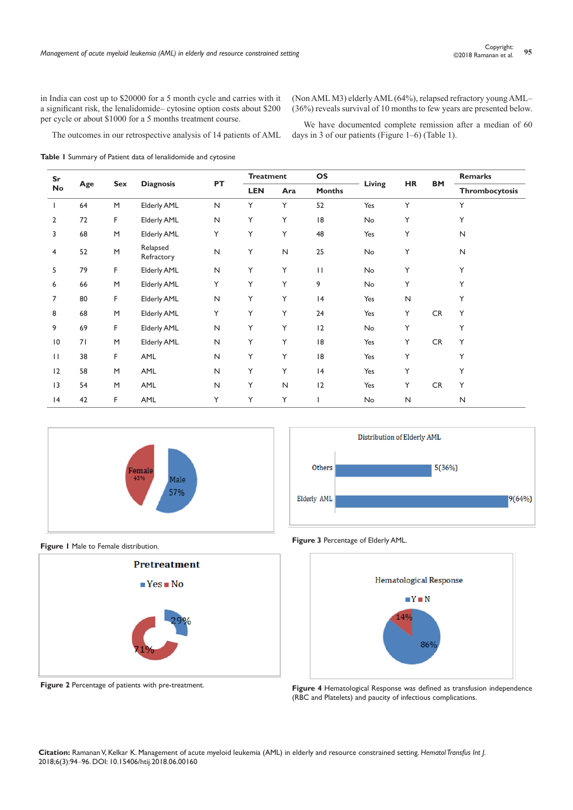in India can cost up to \$20000 for a 5 month cycle and carries with it a significant risk, the lenalidomide-cytosine option costs about \$200 per cycle or about \$1000 for a 5 months treatment course.

The outcomes in our retrospective analysis of 14 patients of AML

**Table 1** Summary of Patient data of lenalidomide and cytosine

(Non AML M3) elderly AML (64%), relapsed refractory young AML-(36%) reveals survival of 10 months to few years are presented below.

We have documented complete remission after a median of 60 days in 3 of our patients (Figure 1–6) (Table 1).

| Sr<br><b>No</b> | Age | Sex | <b>Diagnosis</b>       | PT           | <b>Treatment</b> |              | OS            |        |              |           | Remarks        |
|-----------------|-----|-----|------------------------|--------------|------------------|--------------|---------------|--------|--------------|-----------|----------------|
|                 |     |     |                        |              | <b>LEN</b>       | Ara          | <b>Months</b> | Living | HR           | <b>BM</b> | Thrombocytosis |
|                 | 64  | M   | <b>Elderly AML</b>     | $\mathsf{N}$ | Y                | Y            | 52            | Yes    | Υ            |           | Υ              |
| 2               | 72  | F   | Elderly AML            | $\mathsf{N}$ | Υ                | Υ            | 18            | No     | Υ            |           | Y              |
| 3               | 68  | M   | Elderly AML            | Υ            | Υ                | Y            | 48            | Yes    | Υ            |           | $\mathsf{N}$   |
| 4               | 52  | M   | Relapsed<br>Refractory | $\mathsf{N}$ | Υ                | $\mathsf{N}$ | 25            | No     | Υ            |           | N              |
| 5               | 79  | F   | Elderly AML            | $\mathsf{N}$ | Y                | Υ            | $\mathbf{H}$  | No     | Υ            |           | Y              |
| 6               | 66  | M   | Elderly AML            | Υ            | Y                | Y            | 9             | No     | Y            |           | Y              |
| 7               | 80  | F   | Elderly AML            | $\mathsf{N}$ | Υ                | Y            | 4             | Yes    | $\mathsf{N}$ |           | Y              |
| 8               | 68  | M   | Elderly AML            | Υ            | Υ                | Y            | 24            | Yes    | Υ            | CR        | Y              |
| 9               | 69  | F   | Elderly AML            | $\mathsf{N}$ | Υ                | Υ            | 12            | No     | Υ            |           | Υ              |
| 10              | 71  | M   | Elderly AML            | $\mathsf{N}$ | Υ                | Y            | 18            | Yes    | Y            | <b>CR</b> | Y              |
| $\mathbf{H}$    | 38  | F   | AML                    | $\mathsf{N}$ | Υ                | Y            | 18            | Yes    | Y            |           | Y              |
| 12              | 58  | M   | AML                    | $\mathsf{N}$ | Y                | Y            | 4             | Yes    | Υ            |           | Y              |
| 13              | 54  | M   | AML                    | $\mathsf{N}$ | Υ                | $\mathsf{N}$ | 12            | Yes    | Υ            | CR        | Y              |
| 4               | 42  | F   | AML                    | Υ            | Y                | Υ            |               | No     | $\mathsf{N}$ |           | $\mathsf{N}$   |





**Figure 1** Male to Female distribution.



**Figure 2** Percentage of patients with pre-treatment.

**Figure 3** Percentage of Elderly AML.



**Figure 4** Hematological Response was defined as transfusion independence (RBC and Platelets) and paucity of infectious complications.